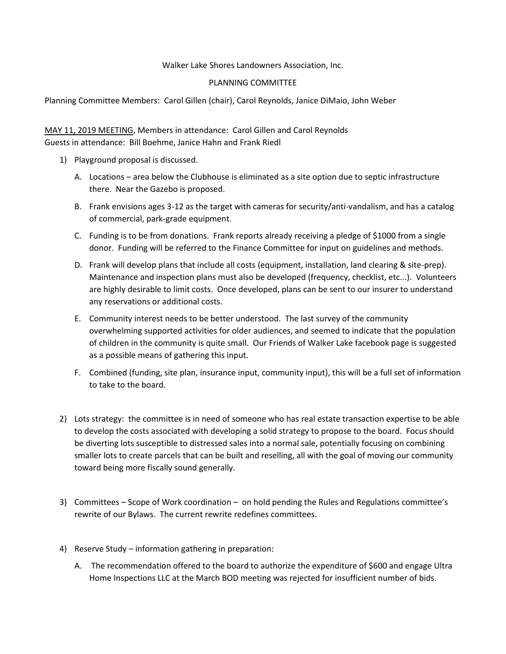## Walker Lake Shores Landowners Association, Inc.

## PLANNING COMMITTEE

Planning Committee Members: Carol Gillen (chair), Carol Reynolds, Janice DiMaio, John Weber

## MAY 11, 2019 MEETING, Members in attendance: Carol Gillen and Carol Reynolds Guests in attendance: Bill Boehme, Janice Hahn and Frank Riedl

- 1) Playground proposal is discussed.
	- A. Locations area below the Clubhouse is eliminated as a site option due to septic infrastructure there. Near the Gazebo is proposed.
	- B. Frank envisions ages 3-12 as the target with cameras for security/anti-vandalism, and has a catalog of commercial, park-grade equipment.
	- C. Funding is to be from donations. Frank reports already receiving a pledge of \$1000 from a single donor. Funding will be referred to the Finance Committee for input on guidelines and methods.
	- D. Frank will develop plans that include all costs (equipment, installation, land clearing & site-prep). Maintenance and inspection plans must also be developed (frequency, checklist, etc...). Volunteers are highly desirable to limit costs. Once developed, plans can be sent to our insurer to understand any reservations or additional costs.
	- E. Community interest needs to be better understood. The last survey of the community overwhelming supported activities for older audiences, and seemed to indicate that the population of children in the community is quite small. Our Friends of Walker Lake facebook page is suggested as a possible means of gathering this input.
	- F. Combined (funding, site plan, insurance input, community input), this will be a full set of information to take to the board.
- 2) Lots strategy: the committee is in need of someone who has real estate transaction expertise to be able to develop the costs associated with developing a solid strategy to propose to the board. Focus should be diverting lots susceptible to distressed sales into a normal sale, potentially focusing on combining smaller lots to create parcels that can be built and reselling, all with the goal of moving our community toward being more fiscally sound generally.
- 3) Committees Scope of Work coordination on hold pending the Rules and Regulations committee's rewrite of our Bylaws. The current rewrite redefines committees.
- 4) Reserve Study information gathering in preparation:
	- A. The recommendation offered to the board to authorize the expenditure of \$600 and engage Ultra Home Inspections LLC at the March BOD meeting was rejected for insufficient number of bids.